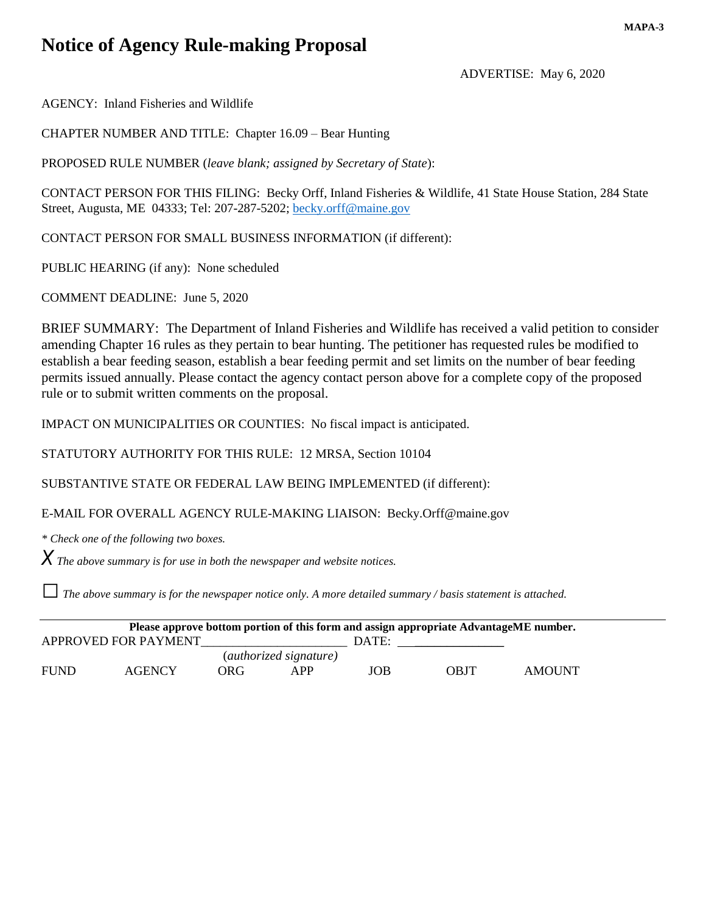# **Notice of Agency Rule-making Proposal**

ADVERTISE: May 6, 2020

AGENCY: Inland Fisheries and Wildlife

CHAPTER NUMBER AND TITLE: Chapter 16.09 – Bear Hunting

PROPOSED RULE NUMBER (*leave blank; assigned by Secretary of State*):

CONTACT PERSON FOR THIS FILING: Becky Orff, Inland Fisheries & Wildlife, 41 State House Station, 284 State Street, Augusta, ME 04333; Tel: 207-287-5202; [becky.orff@maine.gov](mailto:becky.orff@maine.gov)

CONTACT PERSON FOR SMALL BUSINESS INFORMATION (if different):

PUBLIC HEARING (if any): None scheduled

COMMENT DEADLINE: June 5, 2020

BRIEF SUMMARY: The Department of Inland Fisheries and Wildlife has received a valid petition to consider amending Chapter 16 rules as they pertain to bear hunting. The petitioner has requested rules be modified to establish a bear feeding season, establish a bear feeding permit and set limits on the number of bear feeding permits issued annually. Please contact the agency contact person above for a complete copy of the proposed rule or to submit written comments on the proposal.

IMPACT ON MUNICIPALITIES OR COUNTIES: No fiscal impact is anticipated.

STATUTORY AUTHORITY FOR THIS RULE: 12 MRSA, Section 10104

SUBSTANTIVE STATE OR FEDERAL LAW BEING IMPLEMENTED (if different):

E-MAIL FOR OVERALL AGENCY RULE-MAKING LIAISON: Becky.Orff@maine.gov

*\* Check one of the following two boxes.*

*X The above summary is for use in both the newspaper and website notices.*

*□The above summary is for the newspaper notice only. A more detailed summary / basis statement is attached.*

| Please approve bottom portion of this form and assign appropriate AdvantageME number. |                      |            |       |             |               |  |
|---------------------------------------------------------------------------------------|----------------------|------------|-------|-------------|---------------|--|
|                                                                                       |                      |            | DATE: |             |               |  |
| ( <i>authorized signature</i> )                                                       |                      |            |       |             |               |  |
| AGENCY                                                                                | ORG-                 | <b>APP</b> | JOB   | <b>OBJT</b> | <b>AMOUNT</b> |  |
|                                                                                       | APPROVED FOR PAYMENT |            |       |             |               |  |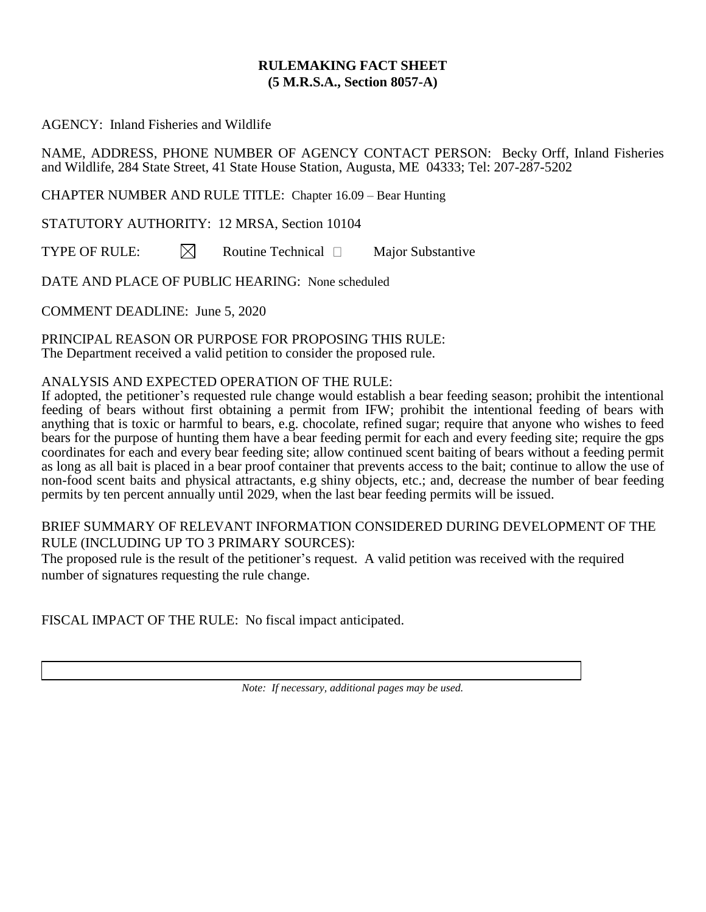## **RULEMAKING FACT SHEET (5 M.R.S.A., Section 8057-A)**

AGENCY: Inland Fisheries and Wildlife

NAME, ADDRESS, PHONE NUMBER OF AGENCY CONTACT PERSON: Becky Orff, Inland Fisheries and Wildlife, 284 State Street, 41 State House Station, Augusta, ME 04333; Tel: 207-287-5202

CHAPTER NUMBER AND RULE TITLE: Chapter 16.09 – Bear Hunting

STATUTORY AUTHORITY: 12 MRSA, Section 10104

TYPE OF RULE:  $\boxtimes$  Routine Technical  $\Box$  Major Substantive

DATE AND PLACE OF PUBLIC HEARING: None scheduled

COMMENT DEADLINE: June 5, 2020

PRINCIPAL REASON OR PURPOSE FOR PROPOSING THIS RULE: The Department received a valid petition to consider the proposed rule.

### ANALYSIS AND EXPECTED OPERATION OF THE RULE:

If adopted, the petitioner's requested rule change would establish a bear feeding season; prohibit the intentional feeding of bears without first obtaining a permit from IFW; prohibit the intentional feeding of bears with anything that is toxic or harmful to bears, e.g. chocolate, refined sugar; require that anyone who wishes to feed bears for the purpose of hunting them have a bear feeding permit for each and every feeding site; require the gps coordinates for each and every bear feeding site; allow continued scent baiting of bears without a feeding permit as long as all bait is placed in a bear proof container that prevents access to the bait; continue to allow the use of non-food scent baits and physical attractants, e.g shiny objects, etc.; and, decrease the number of bear feeding permits by ten percent annually until 2029, when the last bear feeding permits will be issued.

## BRIEF SUMMARY OF RELEVANT INFORMATION CONSIDERED DURING DEVELOPMENT OF THE RULE (INCLUDING UP TO 3 PRIMARY SOURCES):

The proposed rule is the result of the petitioner's request. A valid petition was received with the required number of signatures requesting the rule change.

FISCAL IMPACT OF THE RULE: No fiscal impact anticipated.

*Note: If necessary, additional pages may be used.*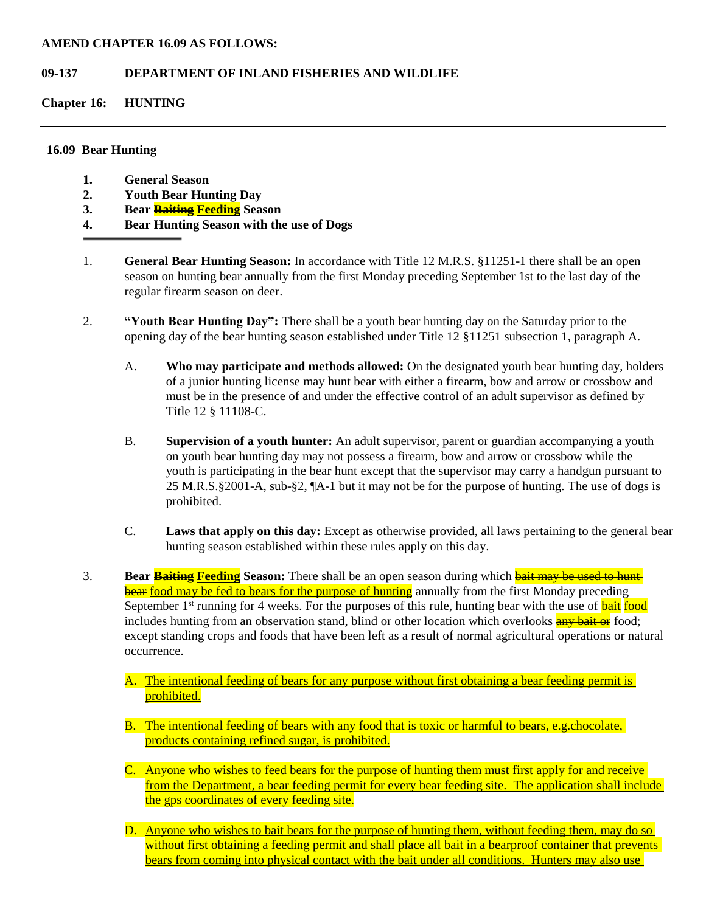#### **AMEND CHAPTER 16.09 AS FOLLOWS:**

#### **09-137 DEPARTMENT OF INLAND FISHERIES AND WILDLIFE**

**Chapter 16: HUNTING**

#### **16.09 Bear Hunting**

- **1. General Season**
- **2. Youth Bear Hunting Day**
- **3. Bear Baiting Feeding Season**
- **4. Bear Hunting Season with the use of Dogs**
- 1. **General Bear Hunting Season:** In accordance with Title 12 M.R.S. §11251-1 there shall be an open season on hunting bear annually from the first Monday preceding September 1st to the last day of the regular firearm season on deer.
- 2. **"Youth Bear Hunting Day":** There shall be a youth bear hunting day on the Saturday prior to the opening day of the bear hunting season established under Title 12 §11251 subsection 1, paragraph A.
	- A. **Who may participate and methods allowed:** On the designated youth bear hunting day, holders of a junior hunting license may hunt bear with either a firearm, bow and arrow or crossbow and must be in the presence of and under the effective control of an adult supervisor as defined by Title 12 § 11108-C.
	- B. **Supervision of a youth hunter:** An adult supervisor, parent or guardian accompanying a youth on youth bear hunting day may not possess a firearm, bow and arrow or crossbow while the youth is participating in the bear hunt except that the supervisor may carry a handgun pursuant to 25 M.R.S.§2001-A, sub-§2, ¶A-1 but it may not be for the purpose of hunting. The use of dogs is prohibited.
	- C. **Laws that apply on this day:** Except as otherwise provided, all laws pertaining to the general bear hunting season established within these rules apply on this day.
- 3. **Bear <b>Baiting** Feeding Season: There shall be an open season during which **bait may be used to hunt** bear food may be fed to bears for the purpose of hunting annually from the first Monday preceding September 1<sup>st</sup> running for 4 weeks. For the purposes of this rule, hunting bear with the use of **bait** food includes hunting from an observation stand, blind or other location which overlooks any bait or food; except standing crops and foods that have been left as a result of normal agricultural operations or natural occurrence.
	- A. The intentional feeding of bears for any purpose without first obtaining a bear feeding permit is prohibited.
	- B. The intentional feeding of bears with any food that is toxic or harmful to bears, e.g.chocolate, products containing refined sugar, is prohibited.
	- C. Anyone who wishes to feed bears for the purpose of hunting them must first apply for and receive from the Department, a bear feeding permit for every bear feeding site. The application shall include the gps coordinates of every feeding site.
	- D. Anyone who wishes to bait bears for the purpose of hunting them, without feeding them, may do so without first obtaining a feeding permit and shall place all bait in a bearproof container that prevents bears from coming into physical contact with the bait under all conditions. Hunters may also use